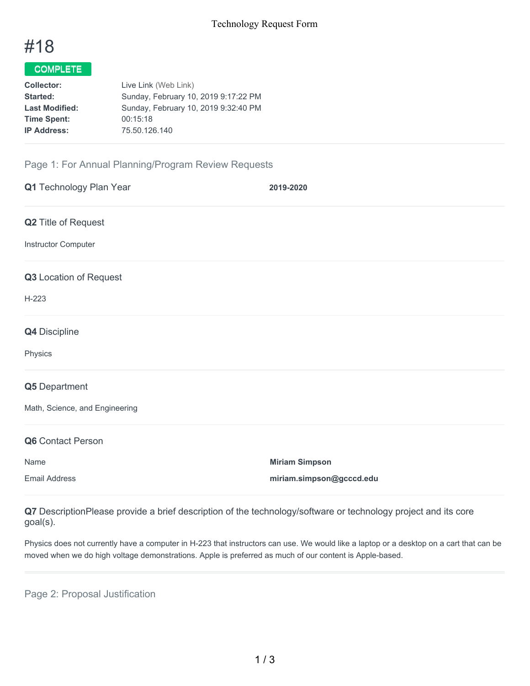# #18

## COMPLETE

| <b>Collector:</b>     | Live Link (Web Link)                 |
|-----------------------|--------------------------------------|
| Started:              | Sunday, February 10, 2019 9:17:22 PM |
| <b>Last Modified:</b> | Sunday, February 10, 2019 9:32:40 PM |
| <b>Time Spent:</b>    | 00:15:18                             |
| <b>IP Address:</b>    | 75.50.126.140                        |
|                       |                                      |

### Page 1: For Annual Planning/Program Review Requests

| Q1 Technology Plan Year        | 2019-2020                |
|--------------------------------|--------------------------|
| Q2 Title of Request            |                          |
| Instructor Computer            |                          |
| Q3 Location of Request         |                          |
| $H-223$                        |                          |
| Q4 Discipline                  |                          |
| Physics                        |                          |
| Q5 Department                  |                          |
| Math, Science, and Engineering |                          |
| Q6 Contact Person              |                          |
| Name                           | <b>Miriam Simpson</b>    |
| <b>Email Address</b>           | miriam.simpson@gcccd.edu |

**Q7** DescriptionPlease provide a brief description of the technology/software or technology project and its core goal(s).

Physics does not currently have a computer in H-223 that instructors can use. We would like a laptop or a desktop on a cart that can be moved when we do high voltage demonstrations. Apple is preferred as much of our content is Apple-based.

Page 2: Proposal Justification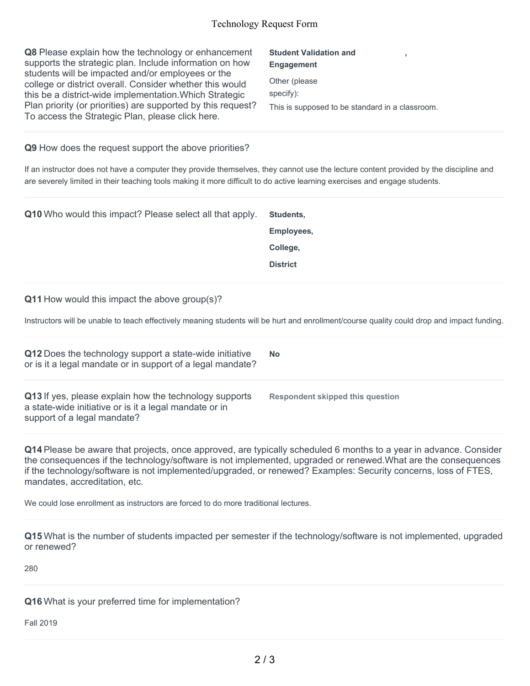**Q8** Please explain how the technology or enhancement supports the strategic plan. Include information on how students will be impacted and/or employees or the college or district overall. Consider whether this would this be a district-wide implementation.Which Strategic Plan priority (or priorities) are supported by this request? To access the Strategic Plan, please click here.

**Student Validation and Engagement ,** Other (please specify): This is supposed to be standard in a classroom.

#### **Q9** How does the request support the above priorities?

If an instructor does not have a computer they provide themselves, they cannot use the lecture content provided by the discipline and are severely limited in their teaching tools making it more difficult to do active learning exercises and engage students.

**Q10** Who would this impact? Please select all that apply. **Students,**

**Employees, College, District**

#### **Q11** How would this impact the above group(s)?

Instructors will be unable to teach effectively meaning students will be hurt and enrollment/course quality could drop and impact funding.

| Q12 Does the technology support a state-wide initiative<br>or is it a legal mandate or in support of a legal mandate?                           | <b>No</b>                        |
|-------------------------------------------------------------------------------------------------------------------------------------------------|----------------------------------|
| Q13 If yes, please explain how the technology supports<br>a state-wide initiative or is it a legal mandate or in<br>support of a legal mandate? | Respondent skipped this question |

**Q14** Please be aware that projects, once approved, are typically scheduled 6 months to a year in advance. Consider the consequences if the technology/software is not implemented, upgraded or renewed.What are the consequences if the technology/software is not implemented/upgraded, or renewed? Examples: Security concerns, loss of FTES, mandates, accreditation, etc.

We could lose enrollment as instructors are forced to do more traditional lectures.

**Q15** What is the number of students impacted per semester if the technology/software is not implemented, upgraded or renewed?

280

**Q16** What is your preferred time for implementation?

Fall 2019